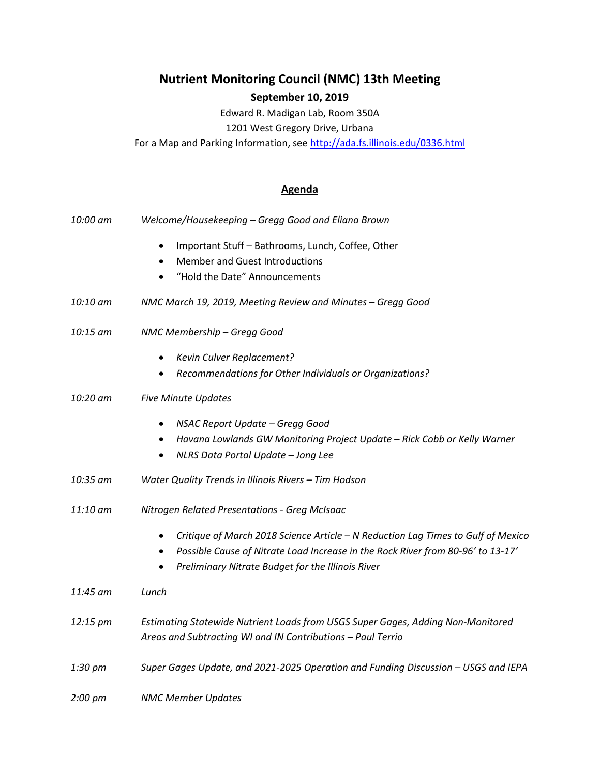## **Nutrient Monitoring Council (NMC) 13th Meeting September 10, 2019**

Edward R. Madigan Lab, Room 350A 1201 West Gregory Drive, Urbana

For a Map and Parking Information, se[e http://ada.fs.illinois.edu/0336.html](http://ada.fs.illinois.edu/0336.html)

## **Agenda**

| 10:00 am | Welcome/Housekeeping - Gregg Good and Eliana Brown                                           |
|----------|----------------------------------------------------------------------------------------------|
|          | Important Stuff - Bathrooms, Lunch, Coffee, Other<br>$\bullet$                               |
|          | <b>Member and Guest Introductions</b>                                                        |
|          | "Hold the Date" Announcements                                                                |
| 10:10 am | NMC March 19, 2019, Meeting Review and Minutes - Gregg Good                                  |
| 10:15 am | NMC Membership - Gregg Good                                                                  |
|          | Kevin Culver Replacement?<br>$\bullet$                                                       |
|          | Recommendations for Other Individuals or Organizations?                                      |
| 10:20 am | <b>Five Minute Updates</b>                                                                   |
|          | NSAC Report Update - Gregg Good<br>٠                                                         |
|          | Havana Lowlands GW Monitoring Project Update - Rick Cobb or Kelly Warner<br>$\bullet$        |
|          | NLRS Data Portal Update - Jong Lee                                                           |
| 10:35 am | Water Quality Trends in Illinois Rivers - Tim Hodson                                         |
| 11:10 am | Nitrogen Related Presentations - Greg McIsaac                                                |
|          | Critique of March 2018 Science Article - N Reduction Lag Times to Gulf of Mexico             |
|          | Possible Cause of Nitrate Load Increase in the Rock River from 80-96' to 13-17'<br>$\bullet$ |
|          | Preliminary Nitrate Budget for the Illinois River                                            |
| 11:45 am | Lunch                                                                                        |
|          |                                                                                              |
| 12:15 pm | Estimating Statewide Nutrient Loads from USGS Super Gages, Adding Non-Monitored              |
|          | Areas and Subtracting WI and IN Contributions - Paul Terrio                                  |
| 1:30 pm  | Super Gages Update, and 2021-2025 Operation and Funding Discussion - USGS and IEPA           |
| 2:00 pm  | <b>NMC Member Updates</b>                                                                    |